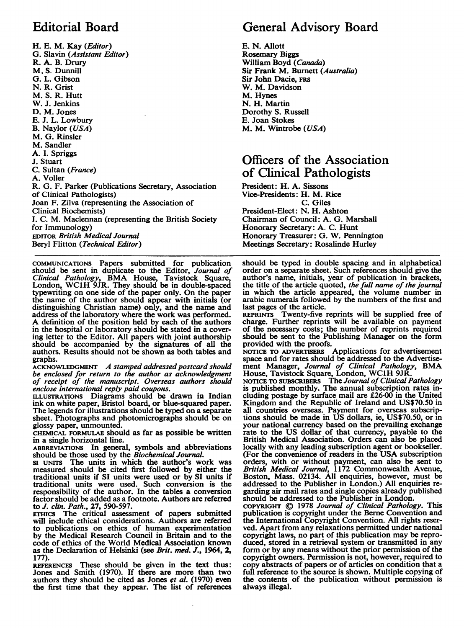## Editorial Board

H. E. M. Kay (Editor) G. Slavin (Assistant Editor) R. A. B. Drury M. S. Dunnill G. L. Gibson N. R. Grist M. S. R. Hutt W. J. Jenkins D. M. Jones E. J. L. Lowbury B. Naylor (USA) M. G. Rinsler M. Sandler A. I. Spriggs J. Stuart C. Sultan (France) A. Voller R. G. F. Parker (Publications Secretary, Association of Clinical Pathologists) Joan F. Zilva (representing the Association of Clinical Biochemists) I. C. M. Maclennan (representing the British Society for Immunology) EDITOR British Medical Journal Beryl Flitton (Technical Editor)

COMMUNICATIONS Papers submitted for publication should be sent in duplicate to the Editor, Journal of Clinical Pathology, BMA House, Tavistock Square, London, WC1H 9JR. They should be in double-spaced typewriting on one side of the paper only. On the paper the name of the author should appear with initials (or distinguishing Christian name) only, and the name and address of the laboratory where the work was performed. A definition of the position held by each of the authors in the hospital or laboratory should be stated in a covering letter to the Editor. All papers with joint authorship should be accompanied by the signatures of all the authors. Results should not be shown as both tables and graphs.

ACKNOWLEDGMENT A stamped addressed postcard should be enclosed for return to the author as acknowledgment of receipt of the manuscript. Overseas authors should enclose international reply paid coupons.

ILLUSTRATIONS Diagrams should be drawn in Indian ink on white paper, Bristol board, or blue-squared paper. The legends for illustrations should be typed on a separate sheet. Photographs and photomicrographs should be on glossy paper, unmounted.

CHEMICAL FORMULAE should as far as possible be written in a single horizontal line.

ABBREVIATIONS In general, symbols and abbreviations should be those used by the Biochemical Journal.

SI UNITS The units in which the author's work was measured should be cited first followed by either the traditional units if SI units were used or by SI units if traditional units were used. Such conversion is the responsibility of the author. In the tables a conversion factor should be added as a footnote. Authors are referred to J. clin. Path., 27, 590-597.

ETHICS The critical assessment of papers submitted will include ethical considerations. Authors are referred to publications on ethics of human experimentation by the Medical Research Council in Britain and to the code of ethics of the World Medical Association known as the Declaration of Helsinki (see Brit. med. J., 1964, 2, 177).

REFERENCES These should be given in the text thus: Jones and Smith (1970). If there are more than two authors they should be cited as Jones et al. (1970) even the first time that they appear. The list of references

## General Advisory Board

E. N. Allott Rosemary Biggs William Boyd (Canada) Sir Frank M. Burnett (Australia) Sir John Dacie, FRS W. M. Davidson M. Hynes N. H. Martin Dorothy S. Russell E. Joan Stokes M. M. Wintrobe (USA)

## Officers of the Association of Clinical Pathologists

President: H. A. Sissons Vice-Presidents: H. M. Rice C. Giles President-Elect: N. H. Ashton Chairman of Council: A. G. Marshall Honorary Secretary: A. C. Hunt Honorary Treasurer: G. W. Pennington Meetings Secretary: Rosalinde Hurley

should be typed in double spacing and in alphabetical order on a separate sheet. Such references should give the author's name, initials, year of publication in brackets, the title of the article quoted, *the full name of the journal* in which the article appeared, the volume number in arabic numerals followed by the numbers of the first and

last pages of the article. REPRINTS Twenty-five reprints will be supplied free of charge. Further reprints will be available on payment of the necessary costs; the number of reprints required should be sent to the Publishing Manager on the form provided with the proofs.

NOTICE TO ADvERTisERS Applications for advertisement space and for rates should be addressed to the Advertisement Manager, Journal of Clinical Pathology, BMA<br>House, Tavistock Square, London, WC1H 9JR.<br>NOTICE TO SUBSCRIBERS The Journal of Clinical Pathology

is published monthly. The annual subscription rates including postage by surface mail are £26-00 in the United Kingdom and the Republic of Ireland and US\$70.50 in all countries overseas. Payment for overseas subscrip-tions should be made in US dollars, ie, US\$70.50, or in your national currency based on the prevailing exchange rate to the US dollar of that currency, payable to the British Medical Association. Orders can also be placed locally with any leading subscription agent or bookseller. (For the convenience of readers in the USA subscription orders, with or without payment, can also be sent to British Medical Journal, 1172 Commonwealth Avenue, Boston, Mass. 02134. All enquiries, however, must be addressed to the Publisher in London.) All enquiries regarding air mail rates and single copies already published should be addressed to the Publisher in London.

COPYRIGHT C 1978 Journal of Clinical Pathology. This publication is copyright under the Berne Convention and the International Copyright Convention. All rights reserved. Apart from any relaxations permitted under national copyright laws, no part of this publication may be reproduced, stored in a retrieval system or transmitted in any form or by any means without the prior permission of the copyright owners. Permission is not, however, required to copy abstracts of papers or of articles on condition that a full reference to the source is shown. Multiple copying of the contents of the publication without permission is always illegal.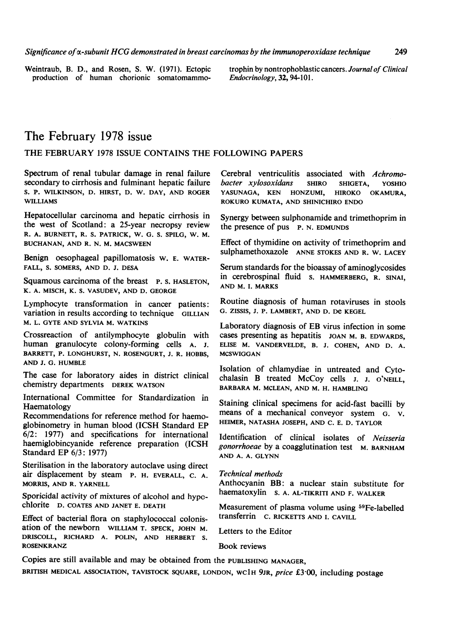Weintraub, B. D., and Rosen, S. W. (1971). Ectopic production of human chorionic somatomammotrophin by nontrophoblastic cancers. Journal of Clinical Endocrinology, 32, 94-101.

## The February 1978 issue

#### THE FEBRUARY <sup>1978</sup> ISSUE CONTAINS THE FOLLOWING PAPERS

Spectrum of renal tubular damage in renal failure secondary to cirrhosis and fulminant hepatic failure S. P. WILKINSON, D. HIRST, D. W. DAY, AND ROGER WILLIAMS

Hepatocellular carcinoma and hepatic cirrhosis in the west of Scotland: a 25-year necropsy review R. A. BURNETT, R. S. PATRICK, W. G. S. SPILG, W. M. BUCHANAN, AND R. N. M. MACSWEEN

Benign oesophageal papillomatosis W. E. WATER-FALL, S. SOMERS, AND D. J. DESA

Squamous carcinoma of the breast P. S. HASLETON. K. A. MISCH, K. S. VASUDEV, AND D. GEORGE

Lymphocyte transformation in cancer patients: variation in results according to technique GILLIAN M. L. GYTE AND SYLVIA M. WATKINS

Crossreaction of antilymphocyte globulin with human granulocyte colony-forming cells A. J. BARRETT, P. LONGHURST, N. ROSENGURT, J. R. HOBBS, AND J. G. HUMBLE

The case for laboratory aides in district clinical chemistry departments DEREK WATSON

International Committee for Standardization in Haematology

Recommendations for reference method for haemoglobinometry in human blood (ICSH Standard EP 6/2: 1977) and specifications for international haemiglobincyanide reference preparation (ICSH Standard EP 6/3: 1977)

Sterilisation in the laboratory autoclave using direct air displacement by steam P. H. EVERALL, C. A. MORRIS, AND R. YARNELL

Sporicidal activity of mixtures of alcohol and hypochlorite D. COATES AND JANET E. DEATH

Effect of bacterial flora on staphylococcal colonisation of the newborn WILLIAM T. SPECK, JOHN M. DRISCOLL, RICHARD A. POLIN, AND HERBERT S. ROSENKRANZ

Cerebral ventriculitis associated with Achromo-<br>bacter xylosoxidans SHIRO SHIGETA, YOSHIO bacter xylosoxidans SHIRO SHIGETA, YOSHIO YASUNAGA, KEN HONZUMI, HIROKO OKAMURA, ROKURO KUMATA, AND SHINICHIRO ENDO

Synergy between sulphonamide and trimethoprim in the presence of pus P. N. EDMUNDS

Effect of thymidine on activity of trimethoprim and sulphamethoxazole ANNE STOKES AND R. W. LACEY

Serum standards for the bioassay of aminoglycosides in cerebrospinal fluid S. HAMMERBERG, R. SINAI, AND M. I. MARKS

Routine diagnosis of human rotaviruses in stools G. ZISSIS, J. P. LAMBERT, AND D. De KEGEL

Laboratory diagnosis of EB virus infection in some cases presenting as hepatitis JOAN M. B. EDWARDS, ELISE M. VANDERVELDE, B. J. COHEN, AND D. A. **MCSWIGGAN** 

Isolation of chlamydiae in untreated and Cytochalasin B treated McCoy cells J. J. <sup>O</sup>'NEILL, BARBARA M. MCLEAN, AND M. H. HAMBLING

Staining clinical specimens for acid-fast bacilli by means of a mechanical conveyor system G. V. HEIMER, NATASHA JOSEPH, AND C. E. D. TAYLOR

Identification of clinical isolates of Neisseria gonorrhoeae by a coagglutination test M. BARNHAM AND A. A. GLYNN

Technical methods

Anthocyanin BB: a nuclear stain substitute for haematoxylin S. A. AL-TIKRITI AND F. WALKER

Measurement of plasma volume using 59Fe-labelled transferrin C. RICKETTS AND I. CAVILL

Letters to the Editor

Book reviews

Copies are still available and may be obtained from the PUBLISHING MANAGER, BRITISH MEDICAL ASSOCIATION, TAVISTOCK SQUARE, LONDON, WC1H 9JR, price £3.00, including postage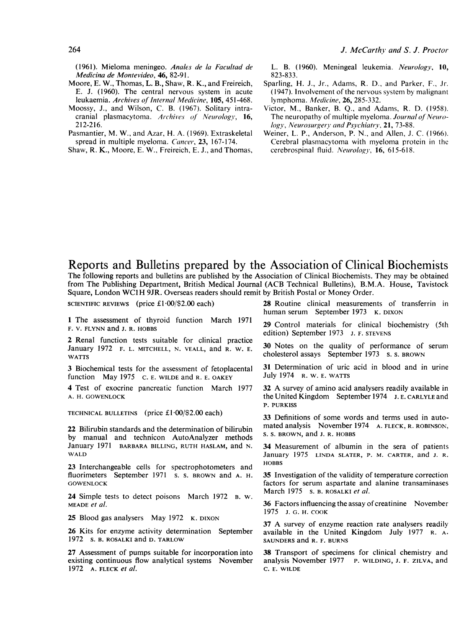(1961). Mieloma meningeo. Anales de la Facultad de Medicina de Montevideo, 46, 82-91.

- Moore, E. W., Thomas, L. B., Shaw, R. K., and Freireich, E. J. (1960). The central nervous system in acute leukaemia. Archives of Internal Medicine, 105, 451-468.
- Moossy, J., and Wilson, C. B. (1967). Solitary intracranial plasmacytoma. Archives of Neurology, 16, 212-216.

Pasmantier, M. W., and Azar, H. A. (1969). Extraskeletal spread in multiple myeloma. Cancer, 23, 167-174.

Shaw, R. K., Moore, E. W., Freireich, E. J., and Thomas,

L. B. (1960). Meningeal leukemia. Neurology, 10, 823-833.

- Sparling, H. J., Jr., Adams, R. D., and Parker, F., Jr. (1947). Involvement of the nervous system by malignant lymphoma. Medicine, 26, 285-332.
- Victor, M., Banker, B. Q., and Adams, R. D. (1958). The neuropathy of multiple myeloma. Journal of Neurology, Neurosurgery and Psychiatry, 21, 73-88.
- Weiner, L. P., Anderson, P. N., and Allen, J. C. (1966). Cerebral plasmacytoma with myeloma protein in the cerebrospinal fluid. Neurology, 16, 615-618.

#### Reports and Bulletins prepared by the Association of Clinical Biochemists

The following reports and bulletins are published by the Association of Clinical Biochemists. They may be obtained from The Publishing Department, British Medical Journal (ACB Technical Bulletins), B.M.A. House, Tavistock Square, London WC1H 9JR. Overseas readers should remit by British Postal or Money Order.

SCIENTIFIC REVIEWS (price £1.00/\$2.00 each)

<sup>1</sup> The assessment of thyroid function March 1971 F. V. FLYNN and J. R. HOBBS

2 Renal function tests suitable for clinical practice January 1972 F. L. MITCHELL, N. VEALL, and R. W. E. WATTS

3 Biochemical tests for the assessment of fetoplacental function May 1975 C. E. WILDE and R. E. OAKEY

4 Test of exocrine pancreatic function March 1977 A. H. GOWENLOCK

TECHNICAL BULLETINS (price £1-00/\$2.00 each)

22 Bilirubin standards and the determination of bilirubin by manual and technicon AutoAnalyzer methods January 1971 BARBARA BILLING, RUTH HASLAM, and N. WALD

23 Interchangeable cells for spectrophotometers and fluorimeters September 1971 s. s. BROWN and A. H. **GOWENLOCK** 

24 Simple tests to detect poisons March 1972 B. W. MEADE et al.

25 Blood gas analysers May 1972 K. DIXON

26 Kits for enzyme activity determination September 1972 s. B. ROSALKI and D. TARLOW

27 Assessment of pumps suitable for incorporation into existing continuous flow analytical systems November 1972 A. FLECK et al.

28 Routine clinical measurements of transferrin in human serum September 1973 K. DIXON

29 Control materials for clinical biochemistry (5th edition) September 1973 J. F. STEVENS

30 Notes on the quality of performance of serum cholesterol assays September 1973 s. s. BROWN

31 Determination of uric acid in blood and in urine July 1974 R. W. E. WATTS

<sup>32</sup> A survey of amino acid analysers readily available in the United Kingdom September 1974 J. E. CARLYLE and P. PURKISS

33 Definitions of some words and terms used in automated analysis November 1974 A. FLECK, R. ROBINSON, S. S. BROWN, and J. R. HOBBS

34 Measurement of albumin in the sera of patients January 1975 LINDA SLATER, P. M. CARTER, and J. R. HOBBS

35 Investigation of the validity of temperature correction factors for serum aspartate and alanine transaminases March 1975 s. B. ROSALKI et al.

36 Factors influencing the assay of creatinine November 1975 J. G. H. COOK

<sup>37</sup> A survey of enzyme reaction rate analysers readily available in the United Kingdom July 1977 R. A. SAUNDERS and R. F. BURNS

38 Transport of specimens for clinical chemistry and analysis November 1977 P. WILDING, J. F. ZILVA, and C. E. WILDE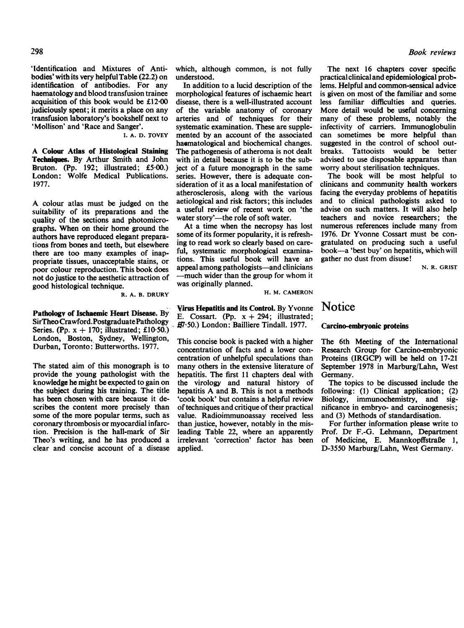'Identification and Mixtures of Antibodies' withits very helpfulTable (22.2) on identification of antibodies. For any haematology and blood transfusion trainee acquisition of this book would be £12.00 judiciously spent; it merits a place on any transfusion laboratory's bookshelf next to 'Mollison' and 'Race and Sanger'.

I. A. D. TOVEY

A Colour Atlas of Histological Staining Techniques. By Arthur Smith and John Bruton. (Pp. 192; illustrated; £5.00.) London: Wolfe Medical Publications. 1977.

A colour atlas must be judged on the suitability of its preparations and the quality of the sections and photomicrographs. When on their home ground the authors have reproduced elegant preparations from bones and teeth, but elsewhere there are too many examples of inappropriate tissues, unacceptable stains, or poor colour reproduction. This book does not do justice to the aesthetic attraction of good histological technique.

R. A. B. DRURY

Pathology of Ischaemic Heart Disease. By SirTheoCrawford.PostgraduatePathology, Series. (Pp.  $x + 170$ ; illustrated; £10.50.) London, Boston, Sydney, Wellington, Durban, Toronto: Butterworths. 1977.

The stated aim of this monograph is to provide the young pathologist with the knowledge he might be expected to gain on the subject during his training. The title has been chosen with care because it describes the content more precisely than some of the more popular terms, such as coronary thrombosis.or myocardial infarction. Precision is the hall-mark of Sir Theo's writing, and he has produced a clear and concise account of a disease

which, although common, is not fully understood.

In addition to a lucid description of the morphological features of ischaemic heart disease, there is a well-illustrated account of the variable anatomy of coronary arteries and of techniques for their systematic examination. These are supplemented by an account of the associated hacmatological and biochemical changes. The pathogenesis of atheroma is not dealt with in detail because it is to be the subject of a future monograph in the same series. However, there is adequate consideration of it as a local manifestation of atherosclerosis, along with the various aetiological and risk factors; this includes a useful review of recent work on 'the water story'—the role of soft water.

At a time when the necropsy has lost some of its former popularity, it is refreshing to read work so clearly based on careful, systematic morphological examinations. This useful book will have an appeal among pathologists-and clinicians -much wider than the group for whom it was originally planned.

H. M. CAMERON

Virus Hepatitis and its Control. By Yvonne E. Cossart. (Pp.  $x + 294$ ; illustrated; 7.50.) London: Bailliere Tindall. 1977.

This concise book is packed with a higher concentration of facts and a lower concentration of unhelpful speculations than many others in the extensive literature of hepatitis. The first 11 chapters deal with the virology and natural history of hepatitis A and B. This is not <sup>a</sup> methods 'cook book' but contains a helpful review of techniques and critique of their practical value. Radioimmunoassay received less than justice, however, notably in the misleading Table 22, where an apparently irrelevant 'correction' factor has been applied.

The next 16 chapters cover specific practical clinical and epidemiological problems. Helpful and common-sensical advice is given on most of the familiar and some less familiar difficulties and queries. More detail would be useful concerning many of these problems, notably the infectivity of carriers. Immunoglobulin can sometimes be more helpful than suggested in the control of school outbreaks. Tattooists would be better advised to use disposable apparatus than worry about sterilisation techniques.

The book will be most helpful to clinicans and community health workers facing the everyday problems of hepatitis and to clinical pathologists asked to advise on such matters. It will also help teachers and novice researchers; the numerous references include many from 1976. Dr Yvonne Cossart must be congratulated on producing such a useful book-a 'best buy' on hepatitis, which will gather no dust from disuse!

N. R. GRIST

### **Notice**

#### Carcino-embryonic proteins

The 6th Meeting of the International Research Group for Carcino-embryonic Proteins (IRGCP) will be held on 17-21 September 1978 in Marburg/Lahn, West Germany.

The topics to be discussed include the following: (1) Clinical application; (2) Biology, immunochemistry, and significance in embryo- and carcinogenesis; and (3) Methods of standardisation.

For further information please write to Prof. Dr F.-G. Lehmann, Department of Medicine, E. Mannkopffstraße 1, D-3550 Marburg/Lahn, West Germany.